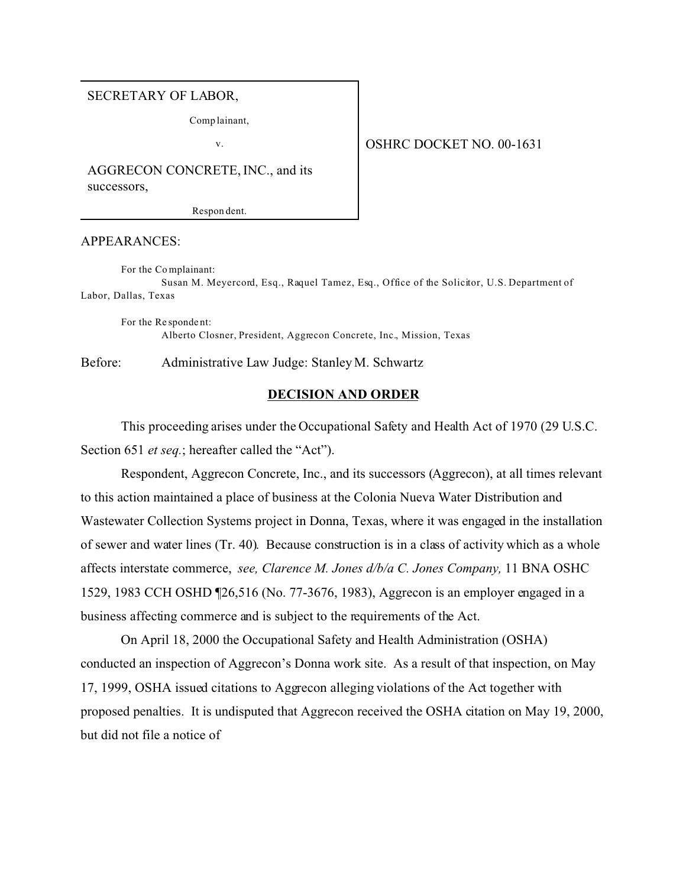#### SECRETARY OF LABOR,

Comp lainant,

v.

## OSHRC DOCKET NO. 00-1631

AGGRECON CONCRETE, INC., and its successors,

Respon dent.

## APPEARANCES:

For the Co mplainant:

Susan M. Meyercord, Esq., Raquel Tamez, Esq., Office of the Solicitor, U.S. Department of Labor, Dallas, Texas

For the Re sponde nt: Alberto Closner, President, Aggrecon Concrete, Inc., Mission, Texas

Before: Administrative Law Judge: Stanley M. Schwartz

## **DECISION AND ORDER**

This proceeding arises under the Occupational Safety and Health Act of 1970 (29 U.S.C. Section 651 *et seq.*; hereafter called the "Act").

Respondent, Aggrecon Concrete, Inc., and its successors (Aggrecon), at all times relevant to this action maintained a place of business at the Colonia Nueva Water Distribution and Wastewater Collection Systems project in Donna, Texas, where it was engaged in the installation of sewer and water lines (Tr. 40). Because construction is in a class of activity which as a whole affects interstate commerce, *see, Clarence M. Jones d/b/a C. Jones Company,* 11 BNA OSHC 1529, 1983 CCH OSHD ¶26,516 (No. 77-3676, 1983), Aggrecon is an employer engaged in a business affecting commerce and is subject to the requirements of the Act.

On April 18, 2000 the Occupational Safety and Health Administration (OSHA) conducted an inspection of Aggrecon's Donna work site. As a result of that inspection, on May 17, 1999, OSHA issued citations to Aggrecon alleging violations of the Act together with proposed penalties. It is undisputed that Aggrecon received the OSHA citation on May 19, 2000, but did not file a notice of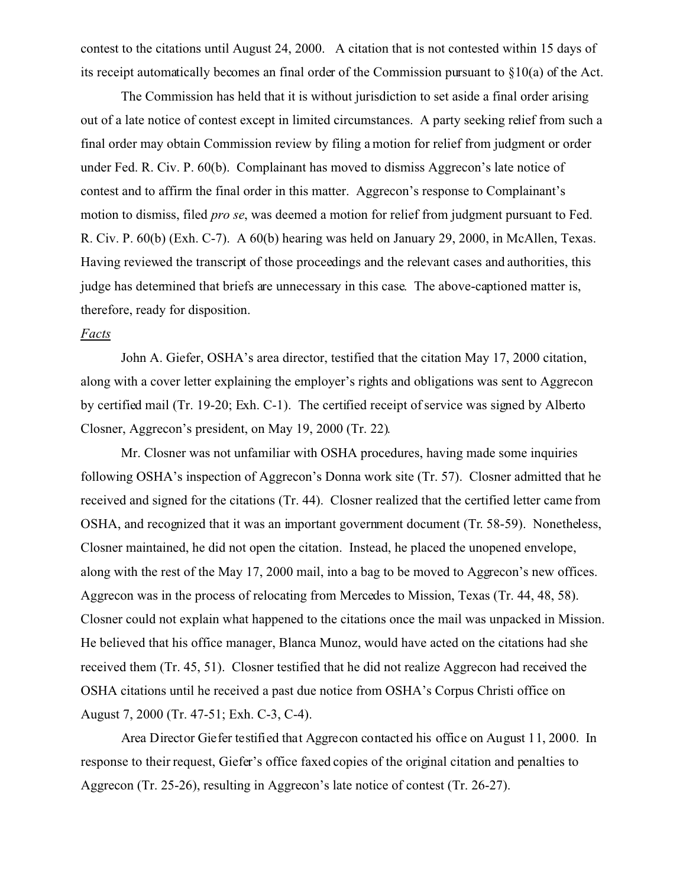contest to the citations until August 24, 2000. A citation that is not contested within 15 days of its receipt automatically becomes an final order of the Commission pursuant to §10(a) of the Act.

The Commission has held that it is without jurisdiction to set aside a final order arising out of a late notice of contest except in limited circumstances. A party seeking relief from such a final order may obtain Commission review by filing a motion for relief from judgment or order under Fed. R. Civ. P. 60(b). Complainant has moved to dismiss Aggrecon's late notice of contest and to affirm the final order in this matter. Aggrecon's response to Complainant's motion to dismiss, filed *pro se*, was deemed a motion for relief from judgment pursuant to Fed. R. Civ. P. 60(b) (Exh. C-7). A 60(b) hearing was held on January 29, 2000, in McAllen, Texas. Having reviewed the transcript of those proceedings and the relevant cases and authorities, this judge has determined that briefs are unnecessary in this case. The above-captioned matter is, therefore, ready for disposition.

#### *Facts*

John A. Giefer, OSHA's area director, testified that the citation May 17, 2000 citation, along with a cover letter explaining the employer's rights and obligations was sent to Aggrecon by certified mail (Tr. 19-20; Exh. C-1). The certified receipt of service was signed by Alberto Closner, Aggrecon's president, on May 19, 2000 (Tr. 22).

Mr. Closner was not unfamiliar with OSHA procedures, having made some inquiries following OSHA's inspection of Aggrecon's Donna work site (Tr. 57). Closner admitted that he received and signed for the citations (Tr. 44). Closner realized that the certified letter came from OSHA, and recognized that it was an important government document (Tr. 58-59). Nonetheless, Closner maintained, he did not open the citation. Instead, he placed the unopened envelope, along with the rest of the May 17, 2000 mail, into a bag to be moved to Aggrecon's new offices. Aggrecon was in the process of relocating from Mercedes to Mission, Texas (Tr. 44, 48, 58). Closner could not explain what happened to the citations once the mail was unpacked in Mission. He believed that his office manager, Blanca Munoz, would have acted on the citations had she received them (Tr. 45, 51). Closner testified that he did not realize Aggrecon had received the OSHA citations until he received a past due notice from OSHA's Corpus Christi office on August 7, 2000 (Tr. 47-51; Exh. C-3, C-4).

Area Director Giefer testified that Aggrecon contacted his office on August 11, 2000. In response to their request, Giefer's office faxed copies of the original citation and penalties to Aggrecon (Tr. 25-26), resulting in Aggrecon's late notice of contest (Tr. 26-27).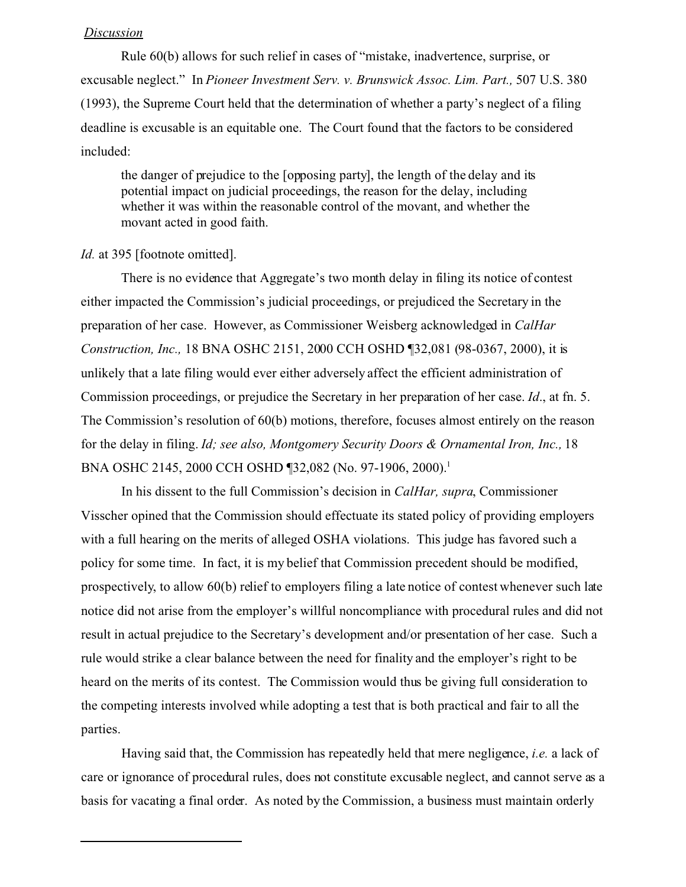## *Discussion*

Rule 60(b) allows for such relief in cases of "mistake, inadvertence, surprise, or excusable neglect." In *Pioneer Investment Serv. v. Brunswick Assoc. Lim. Part.,* 507 U.S. 380 (1993), the Supreme Court held that the determination of whether a party's neglect of a filing deadline is excusable is an equitable one. The Court found that the factors to be considered included:

the danger of prejudice to the [opposing party], the length of the delay and its potential impact on judicial proceedings, the reason for the delay, including whether it was within the reasonable control of the movant, and whether the movant acted in good faith.

# Id. at 395 [footnote omitted].

There is no evidence that Aggregate's two month delay in filing its notice of contest either impacted the Commission's judicial proceedings, or prejudiced the Secretary in the preparation of her case. However, as Commissioner Weisberg acknowledged in *CalHar Construction, Inc.,* 18 BNA OSHC 2151, 2000 CCH OSHD ¶32,081 (98-0367, 2000), it is unlikely that a late filing would ever either adversely affect the efficient administration of Commission proceedings, or prejudice the Secretary in her preparation of her case. *Id*., at fn. 5. The Commission's resolution of 60(b) motions, therefore, focuses almost entirely on the reason for the delay in filing. *Id; see also, Montgomery Security Doors & Ornamental Iron, Inc.,* 18 BNA OSHC 2145, 2000 CCH OSHD 132,082 (No. 97-1906, 2000).<sup>1</sup>

In his dissent to the full Commission's decision in *CalHar, supra*, Commissioner Visscher opined that the Commission should effectuate its stated policy of providing employers with a full hearing on the merits of alleged OSHA violations. This judge has favored such a policy for some time. In fact, it is my belief that Commission precedent should be modified, prospectively, to allow 60(b) relief to employers filing a late notice of contest whenever such late notice did not arise from the employer's willful noncompliance with procedural rules and did not result in actual prejudice to the Secretary's development and/or presentation of her case. Such a rule would strike a clear balance between the need for finality and the employer's right to be heard on the merits of its contest. The Commission would thus be giving full consideration to the competing interests involved while adopting a test that is both practical and fair to all the parties.

Having said that, the Commission has repeatedly held that mere negligence, *i.e.* a lack of care or ignorance of procedural rules, does not constitute excusable neglect, and cannot serve as a basis for vacating a final order. As noted by the Commission, a business must maintain orderly